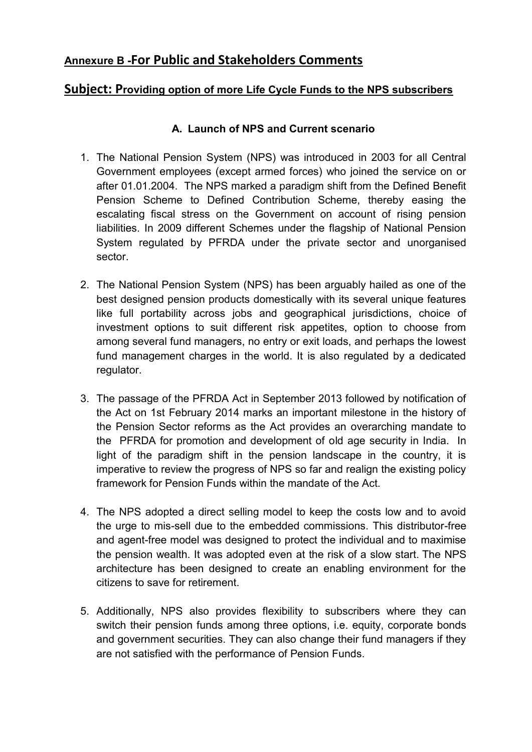# **Annexure B -For Public and Stakeholders Comments**

### **Subject: Providing option of more Life Cycle Funds to the NPS subscribers**

#### **A. Launch of NPS and Current scenario**

- 1. The National Pension System (NPS) was introduced in 2003 for all Central Government employees (except armed forces) who joined the service on or after 01.01.2004. The NPS marked a paradigm shift from the Defined Benefit Pension Scheme to Defined Contribution Scheme, thereby easing the escalating fiscal stress on the Government on account of rising pension liabilities. In 2009 different Schemes under the flagship of National Pension System regulated by PFRDA under the private sector and unorganised sector.
- 2. The National Pension System (NPS) has been arguably hailed as one of the best designed pension products domestically with its several unique features like full portability across jobs and geographical jurisdictions, choice of investment options to suit different risk appetites, option to choose from among several fund managers, no entry or exit loads, and perhaps the lowest fund management charges in the world. It is also regulated by a dedicated regulator.
- 3. The passage of the PFRDA Act in September 2013 followed by notification of the Act on 1st February 2014 marks an important milestone in the history of the Pension Sector reforms as the Act provides an overarching mandate to the PFRDA for promotion and development of old age security in India. In light of the paradigm shift in the pension landscape in the country, it is imperative to review the progress of NPS so far and realign the existing policy framework for Pension Funds within the mandate of the Act.
- 4. The NPS adopted a direct selling model to keep the costs low and to avoid the urge to mis-sell due to the embedded commissions. This distributor-free and agent-free model was designed to protect the individual and to maximise the pension wealth. It was adopted even at the risk of a slow start. The NPS architecture has been designed to create an enabling environment for the citizens to save for retirement.
- 5. Additionally, NPS also provides flexibility to subscribers where they can switch their pension funds among three options, i.e. equity, corporate bonds and government securities. They can also change their fund managers if they are not satisfied with the performance of Pension Funds.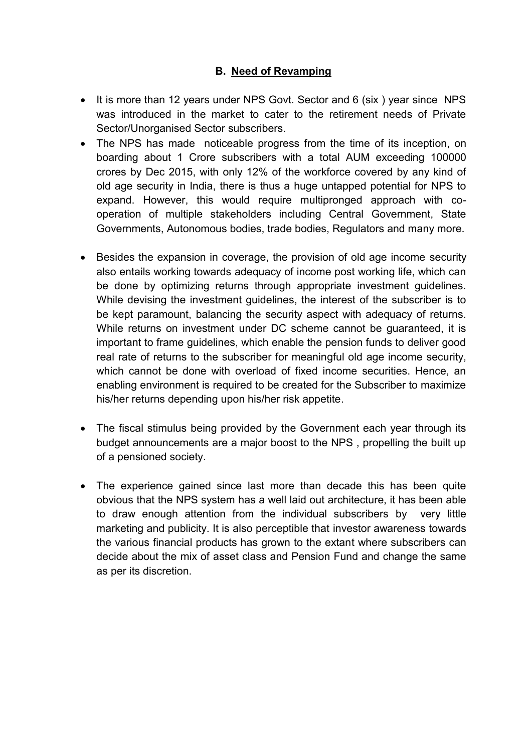#### **B. Need of Revamping**

- It is more than 12 years under NPS Govt. Sector and 6 (six ) year since NPS was introduced in the market to cater to the retirement needs of Private Sector/Unorganised Sector subscribers.
- The NPS has made noticeable progress from the time of its inception, on boarding about 1 Crore subscribers with a total AUM exceeding 100000 crores by Dec 2015, with only 12% of the workforce covered by any kind of old age security in India, there is thus a huge untapped potential for NPS to expand. However, this would require multipronged approach with cooperation of multiple stakeholders including Central Government, State Governments, Autonomous bodies, trade bodies, Regulators and many more.
- Besides the expansion in coverage, the provision of old age income security also entails working towards adequacy of income post working life, which can be done by optimizing returns through appropriate investment guidelines. While devising the investment guidelines, the interest of the subscriber is to be kept paramount, balancing the security aspect with adequacy of returns. While returns on investment under DC scheme cannot be guaranteed, it is important to frame guidelines, which enable the pension funds to deliver good real rate of returns to the subscriber for meaningful old age income security, which cannot be done with overload of fixed income securities. Hence, an enabling environment is required to be created for the Subscriber to maximize his/her returns depending upon his/her risk appetite.
- The fiscal stimulus being provided by the Government each year through its budget announcements are a major boost to the NPS , propelling the built up of a pensioned society.
- The experience gained since last more than decade this has been quite obvious that the NPS system has a well laid out architecture, it has been able to draw enough attention from the individual subscribers by very little marketing and publicity. It is also perceptible that investor awareness towards the various financial products has grown to the extant where subscribers can decide about the mix of asset class and Pension Fund and change the same as per its discretion.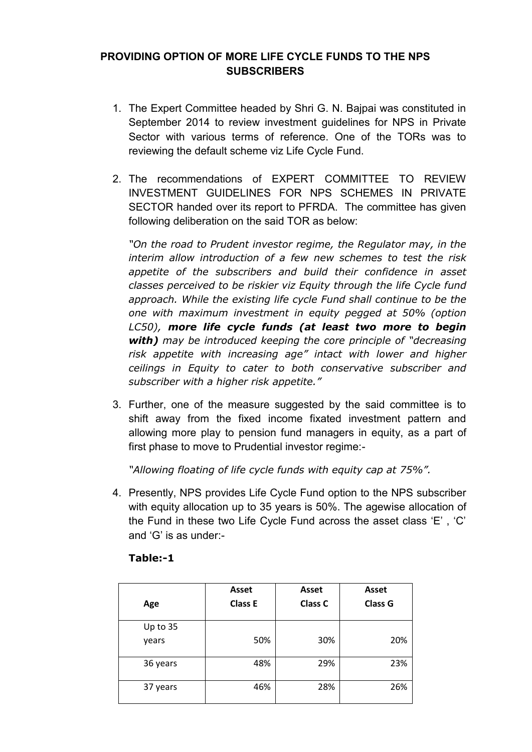### **PROVIDING OPTION OF MORE LIFE CYCLE FUNDS TO THE NPS SUBSCRIBERS**

- 1. The Expert Committee headed by Shri G. N. Bajpai was constituted in September 2014 to review investment guidelines for NPS in Private Sector with various terms of reference. One of the TORs was to reviewing the default scheme viz Life Cycle Fund.
- 2. The recommendations of EXPERT COMMITTEE TO REVIEW INVESTMENT GUIDELINES FOR NPS SCHEMES IN PRIVATE SECTOR handed over its report to PFRDA. The committee has given following deliberation on the said TOR as below:

*"On the road to Prudent investor regime, the Regulator may, in the interim allow introduction of a few new schemes to test the risk appetite of the subscribers and build their confidence in asset classes perceived to be riskier viz Equity through the life Cycle fund approach. While the existing life cycle Fund shall continue to be the one with maximum investment in equity pegged at 50% (option LC50), more life cycle funds (at least two more to begin with) may be introduced keeping the core principle of "decreasing risk appetite with increasing age" intact with lower and higher ceilings in Equity to cater to both conservative subscriber and subscriber with a higher risk appetite."*

3. Further, one of the measure suggested by the said committee is to shift away from the fixed income fixated investment pattern and allowing more play to pension fund managers in equity, as a part of first phase to move to Prudential investor regime:-

*"Allowing floating of life cycle funds with equity cap at 75%".* 

4. Presently, NPS provides Life Cycle Fund option to the NPS subscriber with equity allocation up to 35 years is 50%. The agewise allocation of the Fund in these two Life Cycle Fund across the asset class 'E' , 'C' and 'G' is as under:-

| Age               | <b>Asset</b><br><b>Class E</b> | Asset<br><b>Class C</b> | <b>Asset</b><br><b>Class G</b> |
|-------------------|--------------------------------|-------------------------|--------------------------------|
| Up to 35<br>years | 50%                            | 30%                     | 20%                            |
| 36 years          | 48%                            | 29%                     | 23%                            |
| 37 years          | 46%                            | 28%                     | 26%                            |

#### **Table:-1**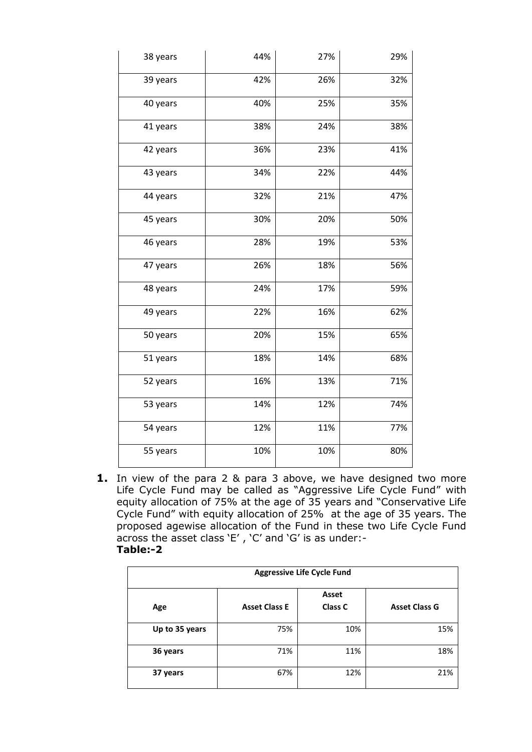| 38 years | 44% | 27% | 29% |
|----------|-----|-----|-----|
| 39 years | 42% | 26% | 32% |
| 40 years | 40% | 25% | 35% |
| 41 years | 38% | 24% | 38% |
| 42 years | 36% | 23% | 41% |
| 43 years | 34% | 22% | 44% |
| 44 years | 32% | 21% | 47% |
| 45 years | 30% | 20% | 50% |
| 46 years | 28% | 19% | 53% |
| 47 years | 26% | 18% | 56% |
| 48 years | 24% | 17% | 59% |
| 49 years | 22% | 16% | 62% |
| 50 years | 20% | 15% | 65% |
| 51 years | 18% | 14% | 68% |
| 52 years | 16% | 13% | 71% |
| 53 years | 14% | 12% | 74% |
| 54 years | 12% | 11% | 77% |
| 55 years | 10% | 10% | 80% |

**1.** In view of the para 2 & para 3 above, we have designed two more Life Cycle Fund may be called as "Aggressive Life Cycle Fund" with equity allocation of 75% at the age of 35 years and "Conservative Life Cycle Fund" with equity allocation of 25% at the age of 35 years. The proposed agewise allocation of the Fund in these two Life Cycle Fund across the asset class 'E' , 'C' and 'G' is as under:- **Table:-2** 

| <b>Aggressive Life Cycle Fund</b> |                      |                         |                      |
|-----------------------------------|----------------------|-------------------------|----------------------|
| Age                               | <b>Asset Class E</b> | Asset<br><b>Class C</b> | <b>Asset Class G</b> |
| Up to 35 years                    | 75%                  | 10%                     | 15%                  |
| 36 years                          | 71%                  | 11%                     | 18%                  |
| 37 years                          | 67%                  | 12%                     | 21%                  |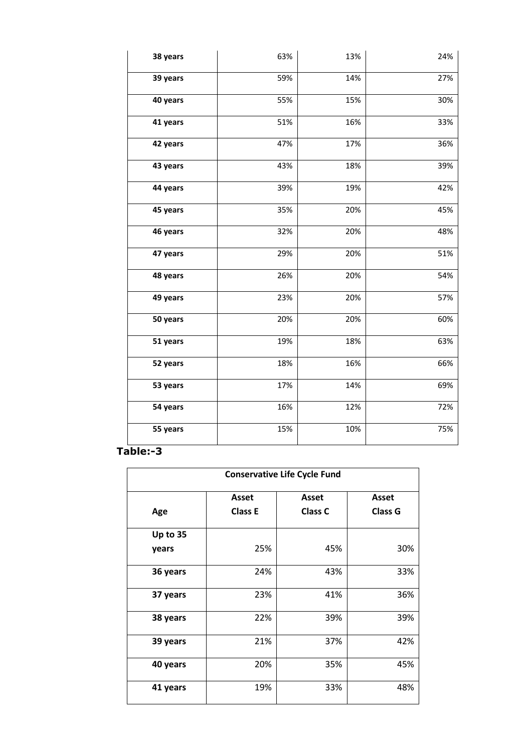| 38 years | 63% | 13% | 24% |
|----------|-----|-----|-----|
| 39 years | 59% | 14% | 27% |
| 40 years | 55% | 15% | 30% |
| 41 years | 51% | 16% | 33% |
| 42 years | 47% | 17% | 36% |
| 43 years | 43% | 18% | 39% |
| 44 years | 39% | 19% | 42% |
| 45 years | 35% | 20% | 45% |
| 46 years | 32% | 20% | 48% |
| 47 years | 29% | 20% | 51% |
| 48 years | 26% | 20% | 54% |
| 49 years | 23% | 20% | 57% |
| 50 years | 20% | 20% | 60% |
| 51 years | 19% | 18% | 63% |
| 52 years | 18% | 16% | 66% |
| 53 years | 17% | 14% | 69% |
| 54 years | 16% | 12% | 72% |
| 55 years | 15% | 10% | 75% |

### **Table:-3**

| <b>Conservative Life Cycle Fund</b> |                |                |                |
|-------------------------------------|----------------|----------------|----------------|
|                                     | Asset          | <b>Asset</b>   | <b>Asset</b>   |
| Age                                 | <b>Class E</b> | <b>Class C</b> | <b>Class G</b> |
| Up to 35                            |                |                |                |
| years                               | 25%            | 45%            | 30%            |
| 36 years                            | 24%            | 43%            | 33%            |
| 37 years                            | 23%            | 41%            | 36%            |
| 38 years                            | 22%            | 39%            | 39%            |
| 39 years                            | 21%            | 37%            | 42%            |
| 40 years                            | 20%            | 35%            | 45%            |
| 41 years                            | 19%            | 33%            | 48%            |